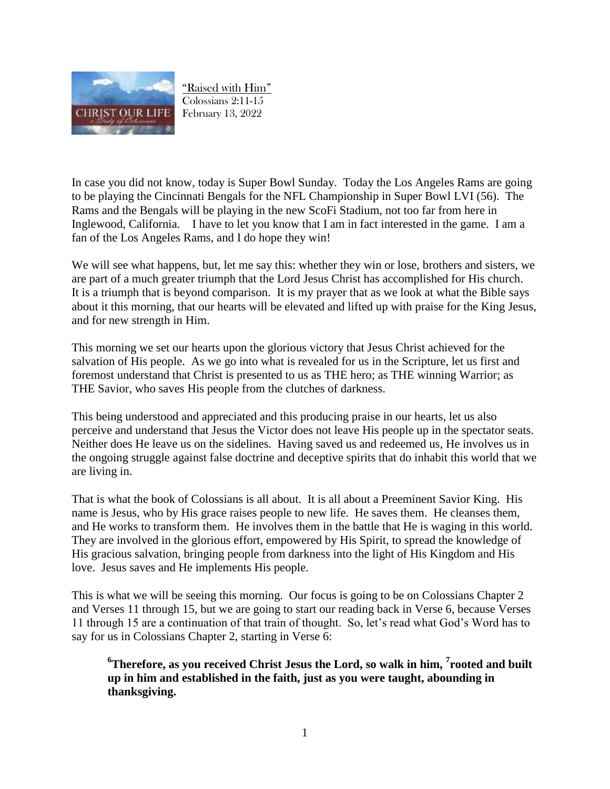

"Raised with Him" Colossians 2:11-15 February 13, 2022

In case you did not know, today is Super Bowl Sunday. Today the Los Angeles Rams are going to be playing the Cincinnati Bengals for the NFL Championship in Super Bowl LVI (56). The Rams and the Bengals will be playing in the new ScoFi Stadium, not too far from here in Inglewood, California. I have to let you know that I am in fact interested in the game. I am a fan of the Los Angeles Rams, and I do hope they win!

We will see what happens, but, let me say this: whether they win or lose, brothers and sisters, we are part of a much greater triumph that the Lord Jesus Christ has accomplished for His church. It is a triumph that is beyond comparison. It is my prayer that as we look at what the Bible says about it this morning, that our hearts will be elevated and lifted up with praise for the King Jesus, and for new strength in Him.

This morning we set our hearts upon the glorious victory that Jesus Christ achieved for the salvation of His people. As we go into what is revealed for us in the Scripture, let us first and foremost understand that Christ is presented to us as THE hero; as THE winning Warrior; as THE Savior, who saves His people from the clutches of darkness.

This being understood and appreciated and this producing praise in our hearts, let us also perceive and understand that Jesus the Victor does not leave His people up in the spectator seats. Neither does He leave us on the sidelines. Having saved us and redeemed us, He involves us in the ongoing struggle against false doctrine and deceptive spirits that do inhabit this world that we are living in.

That is what the book of Colossians is all about. It is all about a Preeminent Savior King. His name is Jesus, who by His grace raises people to new life. He saves them. He cleanses them, and He works to transform them. He involves them in the battle that He is waging in this world. They are involved in the glorious effort, empowered by His Spirit, to spread the knowledge of His gracious salvation, bringing people from darkness into the light of His Kingdom and His love. Jesus saves and He implements His people.

This is what we will be seeing this morning. Our focus is going to be on Colossians Chapter 2 and Verses 11 through 15, but we are going to start our reading back in Verse 6, because Verses 11 through 15 are a continuation of that train of thought. So, let's read what God's Word has to say for us in Colossians Chapter 2, starting in Verse 6:

**<sup>6</sup>Therefore, as you received Christ Jesus the Lord, so walk in him, <sup>7</sup> rooted and built up in him and established in the faith, just as you were taught, abounding in thanksgiving.**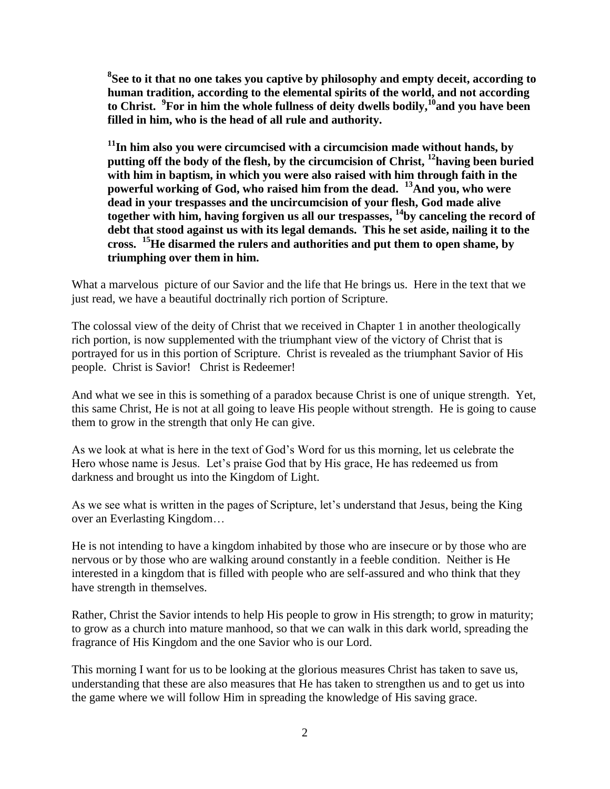**8 See to it that no one takes you captive by philosophy and empty deceit, according to human tradition, according to the elemental spirits of the world, and not according to Christ. <sup>9</sup> For in him the whole fullness of deity dwells bodily,<sup>10</sup>and you have been filled in him, who is the head of all rule and authority.** 

**<sup>11</sup>In him also you were circumcised with a circumcision made without hands, by putting off the body of the flesh, by the circumcision of Christ, <sup>12</sup>having been buried with him in baptism, in which you were also raised with him through faith in the powerful working of God, who raised him from the dead. <sup>13</sup>And you, who were dead in your trespasses and the uncircumcision of your flesh, God made alive together with him, having forgiven us all our trespasses, <sup>14</sup>by canceling the record of debt that stood against us with its legal demands. This he set aside, nailing it to the cross. <sup>15</sup>He disarmed the rulers and authorities and put them to open shame, by triumphing over them in him.**

What a marvelous picture of our Savior and the life that He brings us. Here in the text that we just read, we have a beautiful doctrinally rich portion of Scripture.

The colossal view of the deity of Christ that we received in Chapter 1 in another theologically rich portion, is now supplemented with the triumphant view of the victory of Christ that is portrayed for us in this portion of Scripture. Christ is revealed as the triumphant Savior of His people. Christ is Savior! Christ is Redeemer!

And what we see in this is something of a paradox because Christ is one of unique strength. Yet, this same Christ, He is not at all going to leave His people without strength. He is going to cause them to grow in the strength that only He can give.

As we look at what is here in the text of God's Word for us this morning, let us celebrate the Hero whose name is Jesus. Let's praise God that by His grace, He has redeemed us from darkness and brought us into the Kingdom of Light.

As we see what is written in the pages of Scripture, let's understand that Jesus, being the King over an Everlasting Kingdom…

He is not intending to have a kingdom inhabited by those who are insecure or by those who are nervous or by those who are walking around constantly in a feeble condition. Neither is He interested in a kingdom that is filled with people who are self-assured and who think that they have strength in themselves.

Rather, Christ the Savior intends to help His people to grow in His strength; to grow in maturity; to grow as a church into mature manhood, so that we can walk in this dark world, spreading the fragrance of His Kingdom and the one Savior who is our Lord.

This morning I want for us to be looking at the glorious measures Christ has taken to save us, understanding that these are also measures that He has taken to strengthen us and to get us into the game where we will follow Him in spreading the knowledge of His saving grace.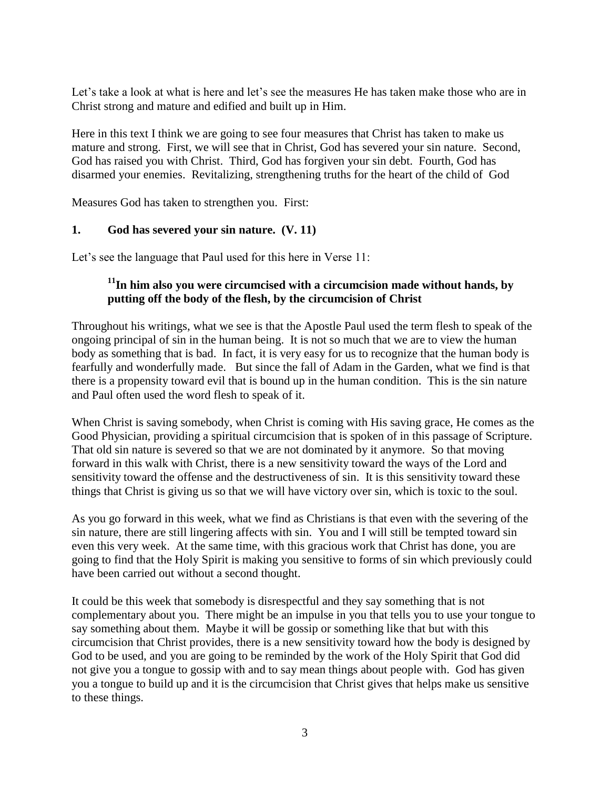Let's take a look at what is here and let's see the measures He has taken make those who are in Christ strong and mature and edified and built up in Him.

Here in this text I think we are going to see four measures that Christ has taken to make us mature and strong. First, we will see that in Christ, God has severed your sin nature. Second, God has raised you with Christ. Third, God has forgiven your sin debt. Fourth, God has disarmed your enemies. Revitalizing, strengthening truths for the heart of the child of God

Measures God has taken to strengthen you. First:

#### **1. God has severed your sin nature. (V. 11)**

Let's see the language that Paul used for this here in Verse 11:

# **<sup>11</sup>In him also you were circumcised with a circumcision made without hands, by putting off the body of the flesh, by the circumcision of Christ**

Throughout his writings, what we see is that the Apostle Paul used the term flesh to speak of the ongoing principal of sin in the human being. It is not so much that we are to view the human body as something that is bad. In fact, it is very easy for us to recognize that the human body is fearfully and wonderfully made. But since the fall of Adam in the Garden, what we find is that there is a propensity toward evil that is bound up in the human condition. This is the sin nature and Paul often used the word flesh to speak of it.

When Christ is saving somebody, when Christ is coming with His saving grace, He comes as the Good Physician, providing a spiritual circumcision that is spoken of in this passage of Scripture. That old sin nature is severed so that we are not dominated by it anymore. So that moving forward in this walk with Christ, there is a new sensitivity toward the ways of the Lord and sensitivity toward the offense and the destructiveness of sin. It is this sensitivity toward these things that Christ is giving us so that we will have victory over sin, which is toxic to the soul.

As you go forward in this week, what we find as Christians is that even with the severing of the sin nature, there are still lingering affects with sin. You and I will still be tempted toward sin even this very week. At the same time, with this gracious work that Christ has done, you are going to find that the Holy Spirit is making you sensitive to forms of sin which previously could have been carried out without a second thought.

It could be this week that somebody is disrespectful and they say something that is not complementary about you. There might be an impulse in you that tells you to use your tongue to say something about them. Maybe it will be gossip or something like that but with this circumcision that Christ provides, there is a new sensitivity toward how the body is designed by God to be used, and you are going to be reminded by the work of the Holy Spirit that God did not give you a tongue to gossip with and to say mean things about people with. God has given you a tongue to build up and it is the circumcision that Christ gives that helps make us sensitive to these things.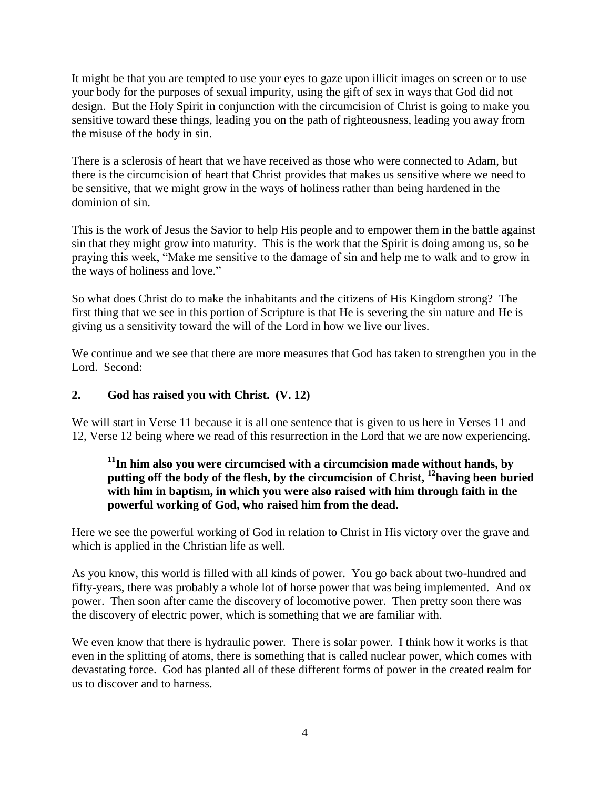It might be that you are tempted to use your eyes to gaze upon illicit images on screen or to use your body for the purposes of sexual impurity, using the gift of sex in ways that God did not design. But the Holy Spirit in conjunction with the circumcision of Christ is going to make you sensitive toward these things, leading you on the path of righteousness, leading you away from the misuse of the body in sin.

There is a sclerosis of heart that we have received as those who were connected to Adam, but there is the circumcision of heart that Christ provides that makes us sensitive where we need to be sensitive, that we might grow in the ways of holiness rather than being hardened in the dominion of sin.

This is the work of Jesus the Savior to help His people and to empower them in the battle against sin that they might grow into maturity. This is the work that the Spirit is doing among us, so be praying this week, "Make me sensitive to the damage of sin and help me to walk and to grow in the ways of holiness and love."

So what does Christ do to make the inhabitants and the citizens of His Kingdom strong? The first thing that we see in this portion of Scripture is that He is severing the sin nature and He is giving us a sensitivity toward the will of the Lord in how we live our lives.

We continue and we see that there are more measures that God has taken to strengthen you in the Lord. Second:

# **2. God has raised you with Christ. (V. 12)**

We will start in Verse 11 because it is all one sentence that is given to us here in Verses 11 and 12, Verse 12 being where we read of this resurrection in the Lord that we are now experiencing.

# **<sup>11</sup>In him also you were circumcised with a circumcision made without hands, by putting off the body of the flesh, by the circumcision of Christ, <sup>12</sup>having been buried with him in baptism, in which you were also raised with him through faith in the powerful working of God, who raised him from the dead.**

Here we see the powerful working of God in relation to Christ in His victory over the grave and which is applied in the Christian life as well.

As you know, this world is filled with all kinds of power. You go back about two-hundred and fifty-years, there was probably a whole lot of horse power that was being implemented. And ox power. Then soon after came the discovery of locomotive power. Then pretty soon there was the discovery of electric power, which is something that we are familiar with.

We even know that there is hydraulic power. There is solar power. I think how it works is that even in the splitting of atoms, there is something that is called nuclear power, which comes with devastating force. God has planted all of these different forms of power in the created realm for us to discover and to harness.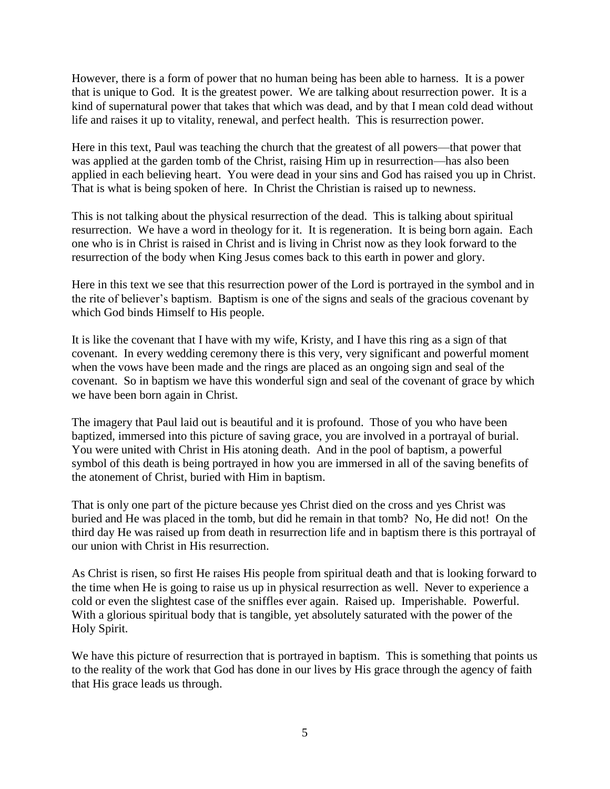However, there is a form of power that no human being has been able to harness. It is a power that is unique to God. It is the greatest power. We are talking about resurrection power. It is a kind of supernatural power that takes that which was dead, and by that I mean cold dead without life and raises it up to vitality, renewal, and perfect health. This is resurrection power.

Here in this text, Paul was teaching the church that the greatest of all powers—that power that was applied at the garden tomb of the Christ, raising Him up in resurrection—has also been applied in each believing heart. You were dead in your sins and God has raised you up in Christ. That is what is being spoken of here. In Christ the Christian is raised up to newness.

This is not talking about the physical resurrection of the dead. This is talking about spiritual resurrection. We have a word in theology for it. It is regeneration. It is being born again. Each one who is in Christ is raised in Christ and is living in Christ now as they look forward to the resurrection of the body when King Jesus comes back to this earth in power and glory.

Here in this text we see that this resurrection power of the Lord is portrayed in the symbol and in the rite of believer's baptism. Baptism is one of the signs and seals of the gracious covenant by which God binds Himself to His people.

It is like the covenant that I have with my wife, Kristy, and I have this ring as a sign of that covenant. In every wedding ceremony there is this very, very significant and powerful moment when the vows have been made and the rings are placed as an ongoing sign and seal of the covenant. So in baptism we have this wonderful sign and seal of the covenant of grace by which we have been born again in Christ.

The imagery that Paul laid out is beautiful and it is profound. Those of you who have been baptized, immersed into this picture of saving grace, you are involved in a portrayal of burial. You were united with Christ in His atoning death. And in the pool of baptism, a powerful symbol of this death is being portrayed in how you are immersed in all of the saving benefits of the atonement of Christ, buried with Him in baptism.

That is only one part of the picture because yes Christ died on the cross and yes Christ was buried and He was placed in the tomb, but did he remain in that tomb? No, He did not! On the third day He was raised up from death in resurrection life and in baptism there is this portrayal of our union with Christ in His resurrection.

As Christ is risen, so first He raises His people from spiritual death and that is looking forward to the time when He is going to raise us up in physical resurrection as well. Never to experience a cold or even the slightest case of the sniffles ever again. Raised up. Imperishable. Powerful. With a glorious spiritual body that is tangible, yet absolutely saturated with the power of the Holy Spirit.

We have this picture of resurrection that is portrayed in baptism. This is something that points us to the reality of the work that God has done in our lives by His grace through the agency of faith that His grace leads us through.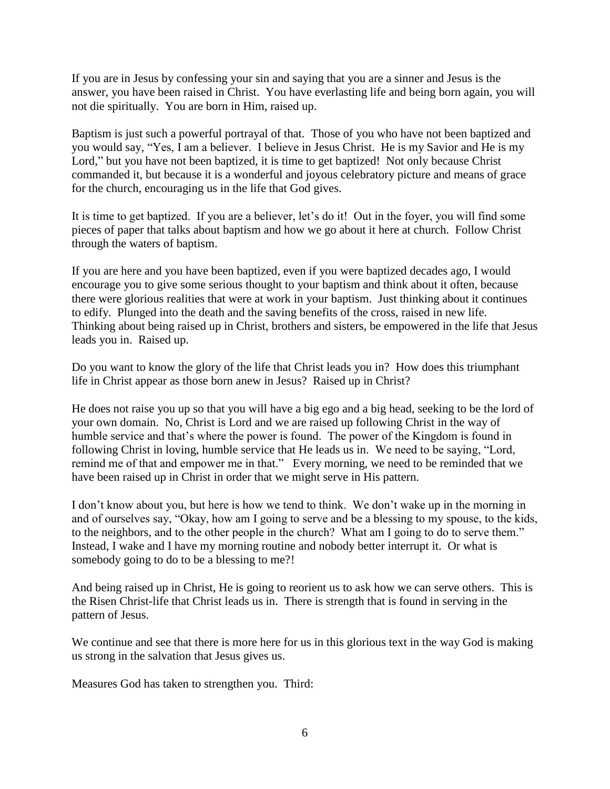If you are in Jesus by confessing your sin and saying that you are a sinner and Jesus is the answer, you have been raised in Christ. You have everlasting life and being born again, you will not die spiritually. You are born in Him, raised up.

Baptism is just such a powerful portrayal of that. Those of you who have not been baptized and you would say, "Yes, I am a believer. I believe in Jesus Christ. He is my Savior and He is my Lord," but you have not been baptized, it is time to get baptized! Not only because Christ commanded it, but because it is a wonderful and joyous celebratory picture and means of grace for the church, encouraging us in the life that God gives.

It is time to get baptized. If you are a believer, let's do it! Out in the foyer, you will find some pieces of paper that talks about baptism and how we go about it here at church. Follow Christ through the waters of baptism.

If you are here and you have been baptized, even if you were baptized decades ago, I would encourage you to give some serious thought to your baptism and think about it often, because there were glorious realities that were at work in your baptism. Just thinking about it continues to edify. Plunged into the death and the saving benefits of the cross, raised in new life. Thinking about being raised up in Christ, brothers and sisters, be empowered in the life that Jesus leads you in. Raised up.

Do you want to know the glory of the life that Christ leads you in? How does this triumphant life in Christ appear as those born anew in Jesus? Raised up in Christ?

He does not raise you up so that you will have a big ego and a big head, seeking to be the lord of your own domain. No, Christ is Lord and we are raised up following Christ in the way of humble service and that's where the power is found. The power of the Kingdom is found in following Christ in loving, humble service that He leads us in. We need to be saying, "Lord, remind me of that and empower me in that." Every morning, we need to be reminded that we have been raised up in Christ in order that we might serve in His pattern.

I don't know about you, but here is how we tend to think. We don't wake up in the morning in and of ourselves say, "Okay, how am I going to serve and be a blessing to my spouse, to the kids, to the neighbors, and to the other people in the church? What am I going to do to serve them." Instead, I wake and I have my morning routine and nobody better interrupt it. Or what is somebody going to do to be a blessing to me?!

And being raised up in Christ, He is going to reorient us to ask how we can serve others. This is the Risen Christ-life that Christ leads us in. There is strength that is found in serving in the pattern of Jesus.

We continue and see that there is more here for us in this glorious text in the way God is making us strong in the salvation that Jesus gives us.

Measures God has taken to strengthen you. Third: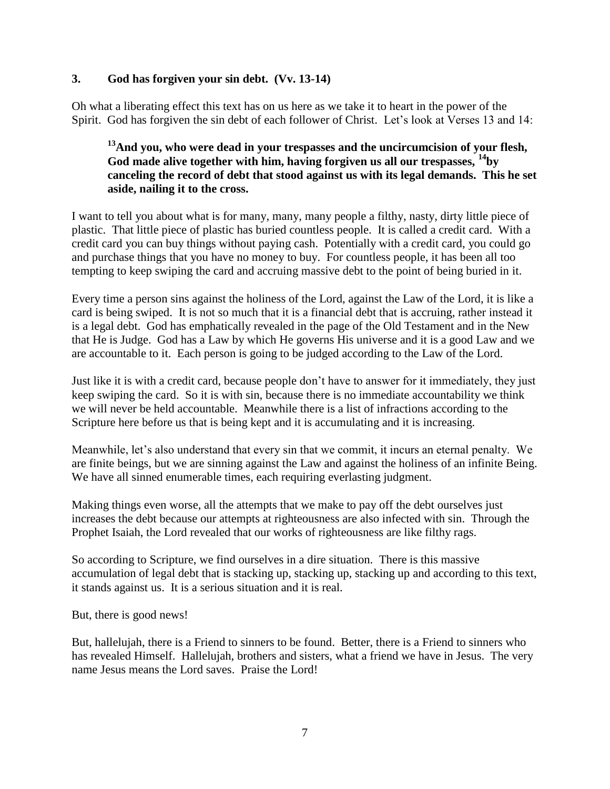### **3. God has forgiven your sin debt. (Vv. 13-14)**

Oh what a liberating effect this text has on us here as we take it to heart in the power of the Spirit. God has forgiven the sin debt of each follower of Christ. Let's look at Verses 13 and 14:

# **<sup>13</sup>And you, who were dead in your trespasses and the uncircumcision of your flesh, God made alive together with him, having forgiven us all our trespasses, <sup>14</sup>by canceling the record of debt that stood against us with its legal demands. This he set aside, nailing it to the cross.**

I want to tell you about what is for many, many, many people a filthy, nasty, dirty little piece of plastic. That little piece of plastic has buried countless people. It is called a credit card. With a credit card you can buy things without paying cash. Potentially with a credit card, you could go and purchase things that you have no money to buy. For countless people, it has been all too tempting to keep swiping the card and accruing massive debt to the point of being buried in it.

Every time a person sins against the holiness of the Lord, against the Law of the Lord, it is like a card is being swiped. It is not so much that it is a financial debt that is accruing, rather instead it is a legal debt. God has emphatically revealed in the page of the Old Testament and in the New that He is Judge. God has a Law by which He governs His universe and it is a good Law and we are accountable to it. Each person is going to be judged according to the Law of the Lord.

Just like it is with a credit card, because people don't have to answer for it immediately, they just keep swiping the card. So it is with sin, because there is no immediate accountability we think we will never be held accountable. Meanwhile there is a list of infractions according to the Scripture here before us that is being kept and it is accumulating and it is increasing.

Meanwhile, let's also understand that every sin that we commit, it incurs an eternal penalty. We are finite beings, but we are sinning against the Law and against the holiness of an infinite Being. We have all sinned enumerable times, each requiring everlasting judgment.

Making things even worse, all the attempts that we make to pay off the debt ourselves just increases the debt because our attempts at righteousness are also infected with sin. Through the Prophet Isaiah, the Lord revealed that our works of righteousness are like filthy rags.

So according to Scripture, we find ourselves in a dire situation. There is this massive accumulation of legal debt that is stacking up, stacking up, stacking up and according to this text, it stands against us. It is a serious situation and it is real.

But, there is good news!

But, hallelujah, there is a Friend to sinners to be found. Better, there is a Friend to sinners who has revealed Himself. Hallelujah, brothers and sisters, what a friend we have in Jesus. The very name Jesus means the Lord saves. Praise the Lord!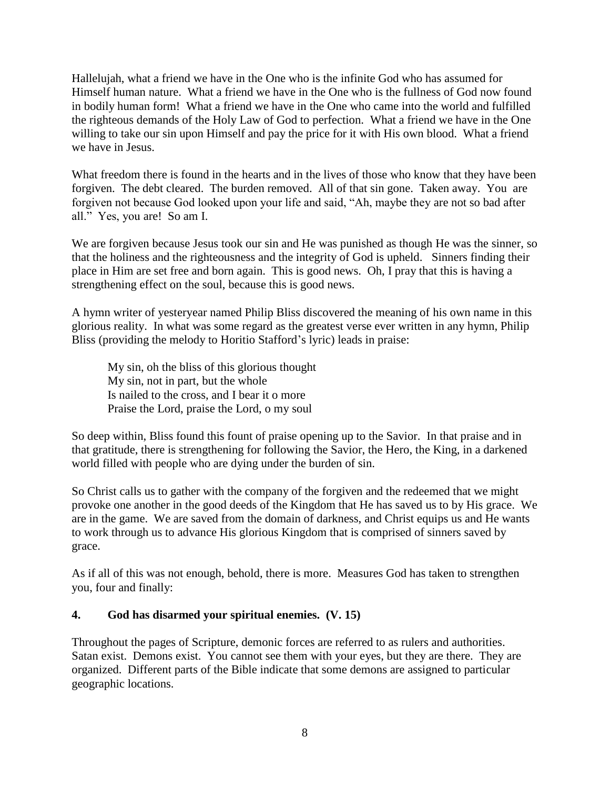Hallelujah, what a friend we have in the One who is the infinite God who has assumed for Himself human nature. What a friend we have in the One who is the fullness of God now found in bodily human form! What a friend we have in the One who came into the world and fulfilled the righteous demands of the Holy Law of God to perfection. What a friend we have in the One willing to take our sin upon Himself and pay the price for it with His own blood. What a friend we have in Jesus.

What freedom there is found in the hearts and in the lives of those who know that they have been forgiven. The debt cleared. The burden removed. All of that sin gone. Taken away. You are forgiven not because God looked upon your life and said, "Ah, maybe they are not so bad after all." Yes, you are! So am I.

We are forgiven because Jesus took our sin and He was punished as though He was the sinner, so that the holiness and the righteousness and the integrity of God is upheld. Sinners finding their place in Him are set free and born again. This is good news. Oh, I pray that this is having a strengthening effect on the soul, because this is good news.

A hymn writer of yesteryear named Philip Bliss discovered the meaning of his own name in this glorious reality. In what was some regard as the greatest verse ever written in any hymn, Philip Bliss (providing the melody to Horitio Stafford's lyric) leads in praise:

My sin, oh the bliss of this glorious thought My sin, not in part, but the whole Is nailed to the cross, and I bear it o more Praise the Lord, praise the Lord, o my soul

So deep within, Bliss found this fount of praise opening up to the Savior. In that praise and in that gratitude, there is strengthening for following the Savior, the Hero, the King, in a darkened world filled with people who are dying under the burden of sin.

So Christ calls us to gather with the company of the forgiven and the redeemed that we might provoke one another in the good deeds of the Kingdom that He has saved us to by His grace. We are in the game. We are saved from the domain of darkness, and Christ equips us and He wants to work through us to advance His glorious Kingdom that is comprised of sinners saved by grace.

As if all of this was not enough, behold, there is more. Measures God has taken to strengthen you, four and finally:

# **4. God has disarmed your spiritual enemies. (V. 15)**

Throughout the pages of Scripture, demonic forces are referred to as rulers and authorities. Satan exist. Demons exist. You cannot see them with your eyes, but they are there. They are organized. Different parts of the Bible indicate that some demons are assigned to particular geographic locations.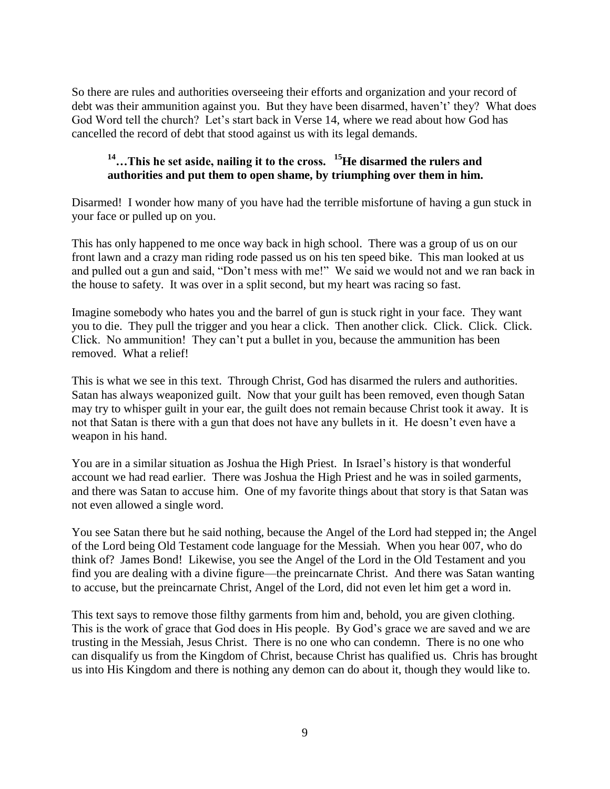So there are rules and authorities overseeing their efforts and organization and your record of debt was their ammunition against you. But they have been disarmed, haven't' they? What does God Word tell the church? Let's start back in Verse 14, where we read about how God has cancelled the record of debt that stood against us with its legal demands.

# **<sup>14</sup>…This he set aside, nailing it to the cross. <sup>15</sup>He disarmed the rulers and authorities and put them to open shame, by triumphing over them in him.**

Disarmed! I wonder how many of you have had the terrible misfortune of having a gun stuck in your face or pulled up on you.

This has only happened to me once way back in high school. There was a group of us on our front lawn and a crazy man riding rode passed us on his ten speed bike. This man looked at us and pulled out a gun and said, "Don't mess with me!" We said we would not and we ran back in the house to safety. It was over in a split second, but my heart was racing so fast.

Imagine somebody who hates you and the barrel of gun is stuck right in your face. They want you to die. They pull the trigger and you hear a click. Then another click. Click. Click. Click. Click. No ammunition! They can't put a bullet in you, because the ammunition has been removed. What a relief!

This is what we see in this text. Through Christ, God has disarmed the rulers and authorities. Satan has always weaponized guilt. Now that your guilt has been removed, even though Satan may try to whisper guilt in your ear, the guilt does not remain because Christ took it away. It is not that Satan is there with a gun that does not have any bullets in it. He doesn't even have a weapon in his hand.

You are in a similar situation as Joshua the High Priest. In Israel's history is that wonderful account we had read earlier. There was Joshua the High Priest and he was in soiled garments, and there was Satan to accuse him. One of my favorite things about that story is that Satan was not even allowed a single word.

You see Satan there but he said nothing, because the Angel of the Lord had stepped in; the Angel of the Lord being Old Testament code language for the Messiah. When you hear 007, who do think of? James Bond! Likewise, you see the Angel of the Lord in the Old Testament and you find you are dealing with a divine figure—the preincarnate Christ. And there was Satan wanting to accuse, but the preincarnate Christ, Angel of the Lord, did not even let him get a word in.

This text says to remove those filthy garments from him and, behold, you are given clothing. This is the work of grace that God does in His people. By God's grace we are saved and we are trusting in the Messiah, Jesus Christ. There is no one who can condemn. There is no one who can disqualify us from the Kingdom of Christ, because Christ has qualified us. Chris has brought us into His Kingdom and there is nothing any demon can do about it, though they would like to.